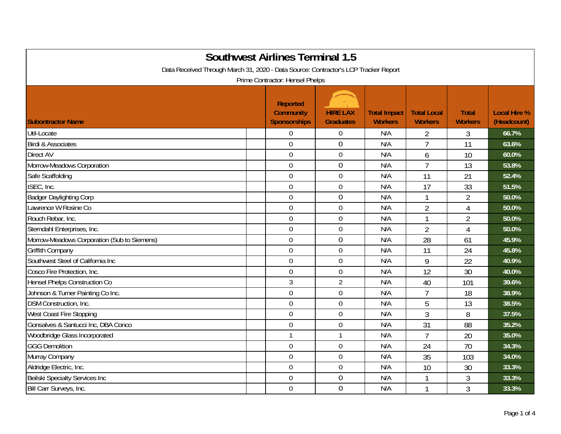| <b>Southwest Airlines Terminal 1.5</b><br>Data Received Through March 31, 2020 - Data Source: Contractor's LCP Tracker Report<br>Prime Contractor: Hensel Phelps |                                                            |                                     |                                       |                                      |                                |                                    |  |  |
|------------------------------------------------------------------------------------------------------------------------------------------------------------------|------------------------------------------------------------|-------------------------------------|---------------------------------------|--------------------------------------|--------------------------------|------------------------------------|--|--|
| <b>Subontractor Name</b>                                                                                                                                         | <b>Reported</b><br><b>Community</b><br><b>Sponsorships</b> | <b>HIRE LAX</b><br><b>Graduates</b> | <b>Total Impact</b><br><b>Workers</b> | <b>Total Local</b><br><b>Workers</b> | <b>Total</b><br><b>Workers</b> | <b>Local Hire %</b><br>(Headcount) |  |  |
| Util-Locate                                                                                                                                                      | $\mathbf 0$                                                | 0                                   | N/A                                   | $\overline{2}$                       | 3                              | 66.7%                              |  |  |
| <b>Birdi &amp; Associates</b>                                                                                                                                    | $\overline{0}$                                             | $\overline{0}$                      | N/A                                   | $\overline{7}$                       | 11                             | 63.6%                              |  |  |
| <b>Direct AV</b>                                                                                                                                                 | $\mathbf 0$                                                | $\mathbf 0$                         | N/A                                   | 6                                    | 10                             | 60.0%                              |  |  |
| Morrow-Meadows Corporation                                                                                                                                       | $\mathbf 0$                                                | 0                                   | N/A                                   | $\overline{7}$                       | 13                             | 53.8%                              |  |  |
| Safe Scaffolding                                                                                                                                                 | $\mathbf 0$                                                | $\mathbf 0$                         | N/A                                   | 11                                   | 21                             | 52.4%                              |  |  |
| ISEC, Inc.                                                                                                                                                       | $\overline{0}$                                             | $\boldsymbol{0}$                    | N/A                                   | 17                                   | 33                             | 51.5%                              |  |  |
| <b>Badger Daylighting Corp</b>                                                                                                                                   | $\mathbf 0$                                                | $\boldsymbol{0}$                    | N/A                                   |                                      | $\overline{2}$                 | 50.0%                              |  |  |
| Lawrence W Rosine Co                                                                                                                                             | $\overline{0}$                                             | $\mathbf 0$                         | N/A                                   | $\overline{2}$                       | 4                              | 50.0%                              |  |  |
| Rouch Rebar, Inc.                                                                                                                                                | $\overline{0}$                                             | $\mathbf 0$                         | N/A                                   | 1                                    | $\overline{2}$                 | 50.0%                              |  |  |
| Sterndahl Enterprises, Inc.                                                                                                                                      | $\mathbf 0$                                                | $\mathbf 0$                         | N/A                                   | $\overline{2}$                       | 4                              | 50.0%                              |  |  |
| Morrow-Meadows Corporation (Sub to Siemens)                                                                                                                      | $\mathbf 0$                                                | 0                                   | N/A                                   | 28                                   | 61                             | 45.9%                              |  |  |
| <b>Griffith Company</b>                                                                                                                                          | $\mathbf 0$                                                | $\mathbf 0$                         | N/A                                   | 11                                   | 24                             | 45.8%                              |  |  |
| Southwest Steel of California Inc                                                                                                                                | $\mathbf 0$                                                | $\boldsymbol{0}$                    | N/A                                   | 9                                    | 22                             | 40.9%                              |  |  |
| Cosco Fire Protection, Inc.                                                                                                                                      | $\mathbf 0$                                                | $\boldsymbol{0}$                    | N/A                                   | 12                                   | 30                             | 40.0%                              |  |  |
| <b>Hensel Phelps Construction Co</b>                                                                                                                             | $\mathfrak{Z}$                                             | $\overline{2}$                      | N/A                                   | 40                                   | 101                            | 39.6%                              |  |  |
| Johnson & Turner Painting Co Inc.                                                                                                                                | $\overline{0}$                                             | $\mathbf 0$                         | N/A                                   | $\overline{7}$                       | 18                             | 38.9%                              |  |  |
| DSM Construction, Inc.                                                                                                                                           | $\mathbf 0$                                                | $\mathbf 0$                         | N/A                                   | 5                                    | 13                             | 38.5%                              |  |  |
| West Coast Fire Stopping                                                                                                                                         | $\overline{0}$                                             | $\mathbf 0$                         | N/A                                   | 3                                    | 8                              | 37.5%                              |  |  |
| Gonsalves & Santucci Inc, DBA Conco                                                                                                                              | $\mathbf 0$                                                | $\mathbf 0$                         | N/A                                   | 31                                   | 88                             | 35.2%                              |  |  |
| Woodbridge Glass Incorporated                                                                                                                                    | $\mathbf 1$                                                | $\mathbf{1}$                        | N/A                                   | $\overline{7}$                       | 20                             | 35.0%                              |  |  |
| <b>GGG Demolition</b>                                                                                                                                            | $\mathbf 0$                                                | $\boldsymbol{0}$                    | N/A                                   | 24                                   | 70                             | 34.3%                              |  |  |
| Murray Company                                                                                                                                                   | $\mathbf 0$                                                | $\boldsymbol{0}$                    | N/A                                   | 35                                   | 103                            | 34.0%                              |  |  |
| Aldridge Electric, Inc.                                                                                                                                          | $\overline{0}$                                             | $\mathbf 0$                         | N/A                                   | 10                                   | 30                             | 33.3%                              |  |  |
| Beilski Specialty Services Inc                                                                                                                                   | $\boldsymbol{0}$                                           | $\boldsymbol{0}$                    | N/A                                   |                                      | 3                              | 33.3%                              |  |  |
| Bill Carr Surveys, Inc.                                                                                                                                          | $\overline{0}$                                             | 0                                   | N/A                                   |                                      | 3                              | 33.3%                              |  |  |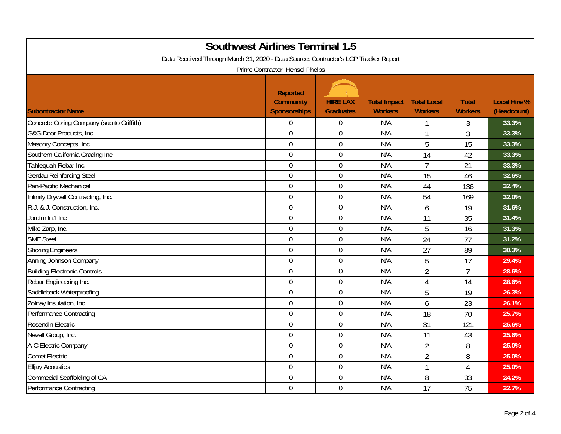| <b>Southwest Airlines Terminal 1.5</b><br>Data Received Through March 31, 2020 - Data Source: Contractor's LCP Tracker Report<br>Prime Contractor: Hensel Phelps |                                                            |                                     |                                       |                                      |                                |                                    |  |  |
|------------------------------------------------------------------------------------------------------------------------------------------------------------------|------------------------------------------------------------|-------------------------------------|---------------------------------------|--------------------------------------|--------------------------------|------------------------------------|--|--|
| <b>Subontractor Name</b>                                                                                                                                         | <b>Reported</b><br><b>Community</b><br><b>Sponsorships</b> | <b>HIRE LAX</b><br><b>Graduates</b> | <b>Total Impact</b><br><b>Workers</b> | <b>Total Local</b><br><b>Workers</b> | <b>Total</b><br><b>Workers</b> | <b>Local Hire %</b><br>(Headcount) |  |  |
| Concrete Coring Company (sub to Griffith)                                                                                                                        | $\mathbf 0$                                                | $\boldsymbol{0}$                    | N/A                                   |                                      | 3                              | 33.3%                              |  |  |
| G&G Door Products, Inc.                                                                                                                                          | $\mathbf 0$                                                | $\boldsymbol{0}$                    | N/A                                   | 1                                    | 3                              | 33.3%                              |  |  |
| Masonry Concepts, Inc                                                                                                                                            | $\mathbf 0$                                                | $\mathbf 0$                         | N/A                                   | 5                                    | 15                             | 33.3%                              |  |  |
| Southern California Grading Inc                                                                                                                                  | $\mathbf 0$                                                | $\mathbf 0$                         | N/A                                   | 14                                   | 42                             | 33.3%                              |  |  |
| Tahlequah Rebar Inc.                                                                                                                                             | $\overline{0}$                                             | $\mathbf 0$                         | N/A                                   | $\overline{7}$                       | 21                             | 33.3%                              |  |  |
| <b>Gerdau Reinforcing Steel</b>                                                                                                                                  | $\mathbf 0$                                                | $\mathbf 0$                         | N/A                                   | 15                                   | 46                             | 32.6%                              |  |  |
| Pan-Pacific Mechanical                                                                                                                                           | $\mathbf 0$                                                | $\mathbf 0$                         | N/A                                   | 44                                   | 136                            | 32.4%                              |  |  |
| Infinity Drywall Contracting, Inc.                                                                                                                               | $\mathbf 0$                                                | $\mathbf 0$                         | N/A                                   | 54                                   | 169                            | 32.0%                              |  |  |
| R.J. & J. Construction, Inc.                                                                                                                                     | $\overline{0}$                                             | $\boldsymbol{0}$                    | N/A                                   | 6                                    | 19                             | 31.6%                              |  |  |
| Jordim Int'l Inc                                                                                                                                                 | $\mathbf 0$                                                | $\mathbf 0$                         | N/A                                   | 11                                   | 35                             | 31.4%                              |  |  |
| Mike Zarp, Inc.                                                                                                                                                  | $\mathbf 0$                                                | $\boldsymbol{0}$                    | N/A                                   | 5                                    | 16                             | 31.3%                              |  |  |
| <b>SME Steel</b>                                                                                                                                                 | $\overline{0}$                                             | $\mathbf 0$                         | N/A                                   | 24                                   | 77                             | 31.2%                              |  |  |
| <b>Shoring Engineers</b>                                                                                                                                         | $\mathbf 0$                                                | $\boldsymbol{0}$                    | N/A                                   | 27                                   | 89                             | 30.3%                              |  |  |
| Anning Johnson Company                                                                                                                                           | $\overline{0}$                                             | $\mathbf 0$                         | N/A                                   | 5                                    | 17                             | 29.4%                              |  |  |
| <b>Building Electronic Controls</b>                                                                                                                              | $\mathbf 0$                                                | $\mathbf 0$                         | N/A                                   | $\overline{2}$                       | $\overline{7}$                 | 28.6%                              |  |  |
| Rebar Engineering Inc.                                                                                                                                           | $\boldsymbol{0}$                                           | $\boldsymbol{0}$                    | N/A                                   | $\overline{4}$                       | 14                             | 28.6%                              |  |  |
| Saddleback Waterproofing                                                                                                                                         | $\mathbf 0$                                                | $\mathbf 0$                         | N/A                                   | 5                                    | 19                             | 26.3%                              |  |  |
| Zolnay Insulation, Inc.                                                                                                                                          | $\mathbf 0$                                                | $\mathbf 0$                         | N/A                                   | 6                                    | 23                             | 26.1%                              |  |  |
| <b>Performance Contracting</b>                                                                                                                                   | $\overline{0}$                                             | $\mathbf 0$                         | N/A                                   | 18                                   | 70                             | 25.7%                              |  |  |
| Rosendin Electric                                                                                                                                                | $\mathbf 0$                                                | $\boldsymbol{0}$                    | N/A                                   | 31                                   | 121                            | 25.6%                              |  |  |
| Nevell Group, Inc.                                                                                                                                               | $\mathbf 0$                                                | $\mathbf 0$                         | N/A                                   | 11                                   | 43                             | 25.6%                              |  |  |
| A-C Electric Company                                                                                                                                             | $\mathbf 0$                                                | $\boldsymbol{0}$                    | N/A                                   | $\overline{2}$                       | 8                              | 25.0%                              |  |  |
| <b>Comet Electric</b>                                                                                                                                            | $\overline{0}$                                             | $\boldsymbol{0}$                    | N/A                                   | $\overline{2}$                       | 8                              | 25.0%                              |  |  |
| <b>Elljay Acoustics</b>                                                                                                                                          | $\overline{0}$                                             | $\mathbf 0$                         | N/A                                   | $\mathbf{1}$                         | 4                              | 25.0%                              |  |  |
| Commecial Scaffolding of CA                                                                                                                                      | $\mathbf 0$                                                | $\boldsymbol{0}$                    | N/A                                   | 8                                    | 33                             | 24.2%                              |  |  |
| Performance Contracting                                                                                                                                          | $\overline{0}$                                             | $\mathbf 0$                         | N/A                                   | 17                                   | 75                             | 22.7%                              |  |  |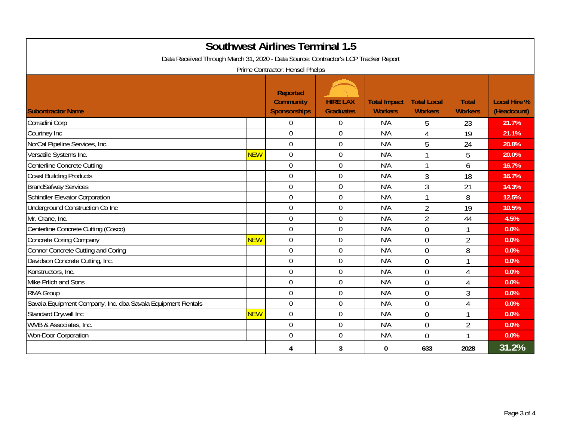| <b>Southwest Airlines Terminal 1.5</b><br>Data Received Through March 31, 2020 - Data Source: Contractor's LCP Tracker Report<br>Prime Contractor: Hensel Phelps |            |                                                     |                                     |                                       |                                      |                                |                                    |  |
|------------------------------------------------------------------------------------------------------------------------------------------------------------------|------------|-----------------------------------------------------|-------------------------------------|---------------------------------------|--------------------------------------|--------------------------------|------------------------------------|--|
| <b>Subontractor Name</b>                                                                                                                                         |            | <b>Reported</b><br><b>Community</b><br>Sponsorships | <b>HIRE LAX</b><br><b>Graduates</b> | <b>Total Impact</b><br><b>Workers</b> | <b>Total Local</b><br><b>Workers</b> | <b>Total</b><br><b>Workers</b> | <b>Local Hire %</b><br>(Headcount) |  |
| Corradini Corp                                                                                                                                                   |            | $\overline{0}$                                      | $\overline{0}$                      | N/A                                   | 5                                    | 23                             | 21.7%                              |  |
| Courtney Inc                                                                                                                                                     |            | $\overline{0}$                                      | $\overline{0}$                      | N/A                                   | 4                                    | 19                             | 21.1%                              |  |
| NorCal Pipeline Services, Inc.                                                                                                                                   |            | $\overline{0}$                                      | $\mathbf 0$                         | N/A                                   | 5                                    | 24                             | 20.8%                              |  |
| Versatile Systems Inc.                                                                                                                                           | <b>NEW</b> | $\overline{0}$                                      | $\boldsymbol{0}$                    | N/A                                   | 1                                    | 5                              | 20.0%                              |  |
| <b>Centerline Concrete Cutting</b>                                                                                                                               |            | $\overline{0}$                                      | $\mathbf 0$                         | N/A                                   | 1                                    | 6                              | 16.7%                              |  |
| <b>Coast Building Products</b>                                                                                                                                   |            | $\Omega$                                            | $\mathbf 0$                         | N/A                                   | 3                                    | 18                             | 16.7%                              |  |
| <b>BrandSafway Services</b>                                                                                                                                      |            | $\Omega$                                            | $\overline{0}$                      | N/A                                   | 3                                    | 21                             | 14.3%                              |  |
| Schindler Elevator Corporation                                                                                                                                   |            | $\overline{0}$                                      | $\mathbf 0$                         | N/A                                   | 1                                    | 8                              | 12.5%                              |  |
| Underground Construction Co Inc                                                                                                                                  |            | $\overline{0}$                                      | $\boldsymbol{0}$                    | N/A                                   | $\overline{2}$                       | 19                             | 10.5%                              |  |
| Mr. Crane, Inc.                                                                                                                                                  |            | $\overline{0}$                                      | $\mathbf 0$                         | N/A                                   | $\overline{2}$                       | 44                             | 4.5%                               |  |
| Centerline Concrete Cutting (Cosco)                                                                                                                              |            | $\Omega$                                            | $\mathbf 0$                         | N/A                                   | $\Omega$                             |                                | 0.0%                               |  |
| <b>Concrete Coring Company</b>                                                                                                                                   | <b>NEW</b> | $\Omega$                                            | $\mathbf 0$                         | N/A                                   | $\Omega$                             | $\overline{2}$                 | 0.0%                               |  |
| Connor Concrete Cutting and Coring                                                                                                                               |            | $\overline{0}$                                      | $\boldsymbol{0}$                    | N/A                                   | $\overline{0}$                       | 8                              | 0.0%                               |  |
| Davidson Concrete Cutting, Inc.                                                                                                                                  |            | $\overline{0}$                                      | $\mathbf 0$                         | N/A                                   | $\Omega$                             | 1                              | 0.0%                               |  |
| Konstructors, Inc.                                                                                                                                               |            | $\overline{0}$                                      | $\mathbf 0$                         | N/A                                   | $\theta$                             | 4                              | 0.0%                               |  |
| Mike Prlich and Sons                                                                                                                                             |            | $\overline{0}$                                      | $\mathbf 0$                         | N/A                                   | $\Omega$                             | 4                              | 0.0%                               |  |
| <b>RMA Group</b>                                                                                                                                                 |            | $\overline{0}$                                      | $\mathbf 0$                         | N/A                                   | $\theta$                             | 3                              | 0.0%                               |  |
| Savala Equipment Company, Inc. dba Savala Equipment Rentals                                                                                                      |            | $\overline{0}$                                      | $\mathbf 0$                         | N/A                                   | $\overline{0}$                       | $\Delta$                       | 0.0%                               |  |
| Standard Drywall Inc                                                                                                                                             | <b>NEW</b> | $\overline{0}$                                      | $\mathbf 0$                         | N/A                                   | $\theta$                             |                                | 0.0%                               |  |
| WMB & Associates, Inc.                                                                                                                                           |            | $\overline{0}$                                      | $\overline{0}$                      | N/A                                   | $\theta$                             | $\overline{2}$                 | 0.0%                               |  |
| Won-Door Corporation                                                                                                                                             |            | $\mathbf 0$                                         | $\boldsymbol{0}$                    | N/A                                   | $\theta$                             |                                | 0.0%                               |  |
|                                                                                                                                                                  |            | 4                                                   | 3                                   | $\bf{0}$                              | 633                                  | 2028                           | 31.2%                              |  |